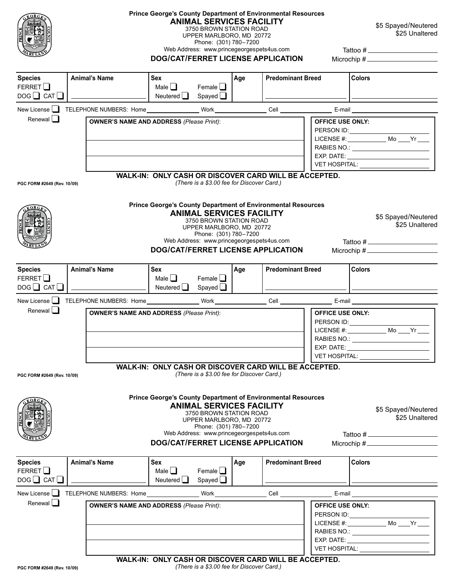

## **Prince George's County Department of Environmental Resources ANIMAL SERVICES FACILITY**

3750 BROWN STATION ROAD UPPER MARLBORO, MD 20772 Phone: (301) 780–7200

Web Address: www.princegeorgespets4us.com

\$5 Spayed/Neutered \$25 Unaltered

| DOG/CAT/FERRET LICENSE APPLICATION |  |  |  |
|------------------------------------|--|--|--|
|                                    |  |  |  |

 Tattoo # Microchip #

| <b>Species</b><br>FERRET $\Box$<br>$DOG$ CAT $\Box$   | <b>Animal's Name</b>                            | <b>Sex</b><br>Male $\Box$<br>Neutered $\Box$ | Female $\Box$<br>Spayed <u>I</u> | Age | <b>Predominant Breed</b> |                                                                                                            | l Colors |
|-------------------------------------------------------|-------------------------------------------------|----------------------------------------------|----------------------------------|-----|--------------------------|------------------------------------------------------------------------------------------------------------|----------|
| New License $\Box$                                    | TELEPHONE NUMBERS: Home                         |                                              | Work                             |     | Cell                     | E-mail                                                                                                     |          |
| Renewal $\Box$                                        | <b>OWNER'S NAME AND ADDRESS (Please Print):</b> |                                              |                                  |     |                          | <b>OFFICE USE ONLY:</b><br>PERSON ID:<br>LICENSE $#$ :<br>RABIES NO:<br>EXP. DATE:<br><b>VET HOSPITAL:</b> | Mo Yr    |
| WALK-IN: ONLY CASH OR DISCOVER CARD WILL BE ACCEPTED. |                                                 |                                              |                                  |     |                          |                                                                                                            |          |

*(There is a \$3.00 fee for Discover Card.)*